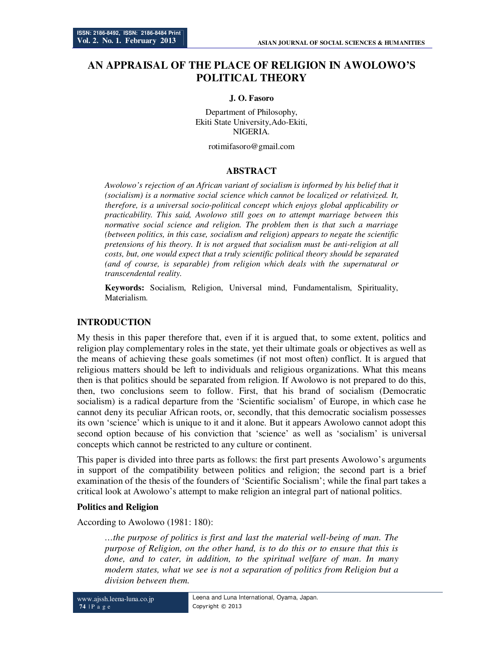# **AN APPRAISAL OF THE PLACE OF RELIGION IN AWOLOWO'S POLITICAL THEORY**

#### **J. O. Fasoro**

Department of Philosophy, Ekiti State University,Ado-Ekiti, NIGERIA.

rotimifasoro@gmail.com

#### **ABSTRACT**

*Awolowo's rejection of an African variant of socialism is informed by his belief that it (socialism) is a normative social science which cannot be localized or relativized. It, therefore, is a universal socio-political concept which enjoys global applicability or practicability. This said, Awolowo still goes on to attempt marriage between this normative social science and religion. The problem then is that such a marriage (between politics, in this case, socialism and religion) appears to negate the scientific pretensions of his theory. It is not argued that socialism must be anti-religion at all costs, but, one would expect that a truly scientific political theory should be separated (and of course, is separable) from religion which deals with the supernatural or transcendental reality.* 

**Keywords:** Socialism, Religion, Universal mind, Fundamentalism, Spirituality, Materialism.

### **INTRODUCTION**

My thesis in this paper therefore that, even if it is argued that, to some extent, politics and religion play complementary roles in the state, yet their ultimate goals or objectives as well as the means of achieving these goals sometimes (if not most often) conflict. It is argued that religious matters should be left to individuals and religious organizations. What this means then is that politics should be separated from religion. If Awolowo is not prepared to do this, then, two conclusions seem to follow. First, that his brand of socialism (Democratic socialism) is a radical departure from the 'Scientific socialism' of Europe, in which case he cannot deny its peculiar African roots, or, secondly, that this democratic socialism possesses its own 'science' which is unique to it and it alone. But it appears Awolowo cannot adopt this second option because of his conviction that 'science' as well as 'socialism' is universal concepts which cannot be restricted to any culture or continent.

This paper is divided into three parts as follows: the first part presents Awolowo's arguments in support of the compatibility between politics and religion; the second part is a brief examination of the thesis of the founders of 'Scientific Socialism'; while the final part takes a critical look at Awolowo's attempt to make religion an integral part of national politics.

#### **Politics and Religion**

According to Awolowo (1981: 180):

*…the purpose of politics is first and last the material well-being of man. The purpose of Religion, on the other hand, is to do this or to ensure that this is done, and to cater, in addition, to the spiritual welfare of man. In many modern states, what we see is not a separation of politics from Religion but a division between them.*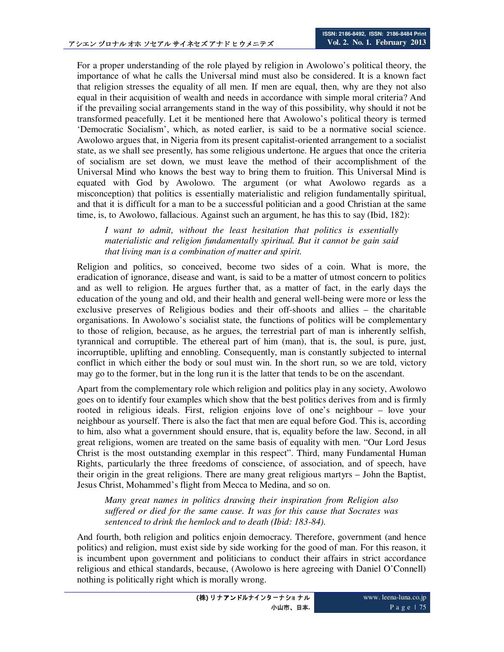For a proper understanding of the role played by religion in Awolowo's political theory, the importance of what he calls the Universal mind must also be considered. It is a known fact that religion stresses the equality of all men. If men are equal, then, why are they not also equal in their acquisition of wealth and needs in accordance with simple moral criteria? And if the prevailing social arrangements stand in the way of this possibility, why should it not be transformed peacefully. Let it be mentioned here that Awolowo's political theory is termed 'Democratic Socialism', which, as noted earlier, is said to be a normative social science. Awolowo argues that, in Nigeria from its present capitalist-oriented arrangement to a socialist state, as we shall see presently, has some religious undertone. He argues that once the criteria of socialism are set down, we must leave the method of their accomplishment of the Universal Mind who knows the best way to bring them to fruition. This Universal Mind is equated with God by Awolowo. The argument (or what Awolowo regards as a misconception) that politics is essentially materialistic and religion fundamentally spiritual, and that it is difficult for a man to be a successful politician and a good Christian at the same time, is, to Awolowo, fallacious. Against such an argument, he has this to say (Ibid, 182):

*I want to admit, without the least hesitation that politics is essentially materialistic and religion fundamentally spiritual. But it cannot be gain said that living man is a combination of matter and spirit.* 

Religion and politics, so conceived, become two sides of a coin. What is more, the eradication of ignorance, disease and want, is said to be a matter of utmost concern to politics and as well to religion. He argues further that, as a matter of fact, in the early days the education of the young and old, and their health and general well-being were more or less the exclusive preserves of Religious bodies and their off-shoots and allies – the charitable organisations. In Awolowo's socialist state, the functions of politics will be complementary to those of religion, because, as he argues, the terrestrial part of man is inherently selfish, tyrannical and corruptible. The ethereal part of him (man), that is, the soul, is pure, just, incorruptible, uplifting and ennobling. Consequently, man is constantly subjected to internal conflict in which either the body or soul must win. In the short run, so we are told, victory may go to the former, but in the long run it is the latter that tends to be on the ascendant.

Apart from the complementary role which religion and politics play in any society, Awolowo goes on to identify four examples which show that the best politics derives from and is firmly rooted in religious ideals. First, religion enjoins love of one's neighbour – love your neighbour as yourself. There is also the fact that men are equal before God. This is, according to him, also what a government should ensure, that is, equality before the law. Second, in all great religions, women are treated on the same basis of equality with men. "Our Lord Jesus Christ is the most outstanding exemplar in this respect". Third, many Fundamental Human Rights, particularly the three freedoms of conscience, of association, and of speech, have their origin in the great religions. There are many great religious martyrs – John the Baptist, Jesus Christ, Mohammed's flight from Mecca to Medina, and so on.

*Many great names in politics drawing their inspiration from Religion also suffered or died for the same cause. It was for this cause that Socrates was sentenced to drink the hemlock and to death (Ibid: 183-84).* 

And fourth, both religion and politics enjoin democracy. Therefore, government (and hence politics) and religion, must exist side by side working for the good of man. For this reason, it is incumbent upon government and politicians to conduct their affairs in strict accordance religious and ethical standards, because, (Awolowo is here agreeing with Daniel O'Connell) nothing is politically right which is morally wrong.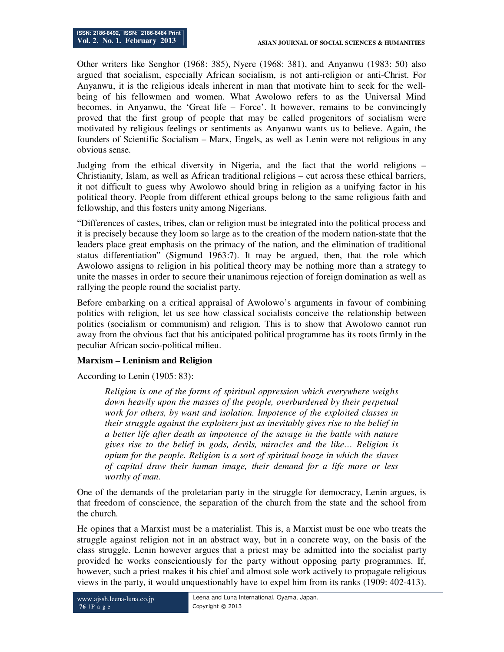Other writers like Senghor (1968: 385), Nyere (1968: 381), and Anyanwu (1983: 50) also argued that socialism, especially African socialism, is not anti-religion or anti-Christ. For Anyanwu, it is the religious ideals inherent in man that motivate him to seek for the wellbeing of his fellowmen and women. What Awolowo refers to as the Universal Mind becomes, in Anyanwu, the 'Great life – Force'. It however, remains to be convincingly proved that the first group of people that may be called progenitors of socialism were motivated by religious feelings or sentiments as Anyanwu wants us to believe. Again, the founders of Scientific Socialism – Marx, Engels, as well as Lenin were not religious in any obvious sense.

Judging from the ethical diversity in Nigeria, and the fact that the world religions – Christianity, Islam, as well as African traditional religions – cut across these ethical barriers, it not difficult to guess why Awolowo should bring in religion as a unifying factor in his political theory. People from different ethical groups belong to the same religious faith and fellowship, and this fosters unity among Nigerians.

"Differences of castes, tribes, clan or religion must be integrated into the political process and it is precisely because they loom so large as to the creation of the modern nation-state that the leaders place great emphasis on the primacy of the nation, and the elimination of traditional status differentiation" (Sigmund 1963:7). It may be argued, then, that the role which Awolowo assigns to religion in his political theory may be nothing more than a strategy to unite the masses in order to secure their unanimous rejection of foreign domination as well as rallying the people round the socialist party.

Before embarking on a critical appraisal of Awolowo's arguments in favour of combining politics with religion, let us see how classical socialists conceive the relationship between politics (socialism or communism) and religion. This is to show that Awolowo cannot run away from the obvious fact that his anticipated political programme has its roots firmly in the peculiar African socio-political milieu.

## **Marxism – Leninism and Religion**

According to Lenin (1905: 83):

*Religion is one of the forms of spiritual oppression which everywhere weighs down heavily upon the masses of the people, overburdened by their perpetual work for others, by want and isolation. Impotence of the exploited classes in their struggle against the exploiters just as inevitably gives rise to the belief in a better life after death as impotence of the savage in the battle with nature gives rise to the belief in gods, devils, miracles and the like… Religion is opium for the people. Religion is a sort of spiritual booze in which the slaves of capital draw their human image, their demand for a life more or less worthy of man.* 

One of the demands of the proletarian party in the struggle for democracy, Lenin argues, is that freedom of conscience, the separation of the church from the state and the school from the church.

He opines that a Marxist must be a materialist. This is, a Marxist must be one who treats the struggle against religion not in an abstract way, but in a concrete way, on the basis of the class struggle. Lenin however argues that a priest may be admitted into the socialist party provided he works conscientiously for the party without opposing party programmes. If, however, such a priest makes it his chief and almost sole work actively to propagate religious views in the party, it would unquestionably have to expel him from its ranks (1909: 402-413).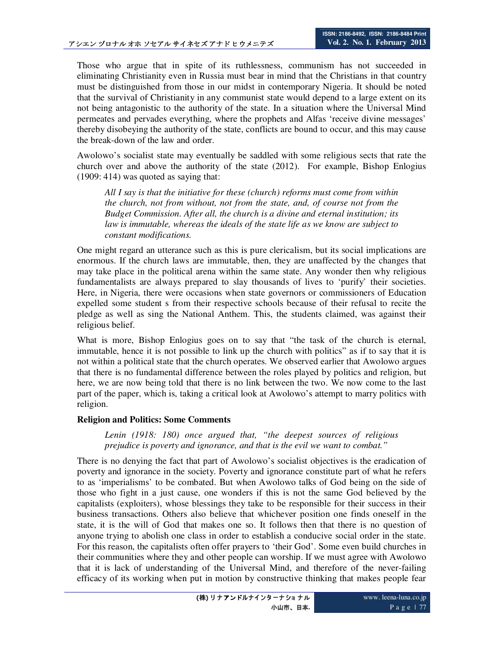Those who argue that in spite of its ruthlessness, communism has not succeeded in eliminating Christianity even in Russia must bear in mind that the Christians in that country must be distinguished from those in our midst in contemporary Nigeria. It should be noted that the survival of Christianity in any communist state would depend to a large extent on its not being antagonistic to the authority of the state. In a situation where the Universal Mind permeates and pervades everything, where the prophets and Alfas 'receive divine messages' thereby disobeying the authority of the state, conflicts are bound to occur, and this may cause the break-down of the law and order.

Awolowo's socialist state may eventually be saddled with some religious sects that rate the church over and above the authority of the state (2012). For example, Bishop Enlogius (1909: 414) was quoted as saying that:

*All I say is that the initiative for these (church) reforms must come from within the church, not from without, not from the state, and, of course not from the Budget Commission. After all, the church is a divine and eternal institution; its law is immutable, whereas the ideals of the state life as we know are subject to constant modifications.* 

One might regard an utterance such as this is pure clericalism, but its social implications are enormous. If the church laws are immutable, then, they are unaffected by the changes that may take place in the political arena within the same state. Any wonder then why religious fundamentalists are always prepared to slay thousands of lives to 'purify' their societies. Here, in Nigeria, there were occasions when state governors or commissioners of Education expelled some student s from their respective schools because of their refusal to recite the pledge as well as sing the National Anthem. This, the students claimed, was against their religious belief.

What is more, Bishop Enlogius goes on to say that "the task of the church is eternal, immutable, hence it is not possible to link up the church with politics" as if to say that it is not within a political state that the church operates. We observed earlier that Awolowo argues that there is no fundamental difference between the roles played by politics and religion, but here, we are now being told that there is no link between the two. We now come to the last part of the paper, which is, taking a critical look at Awolowo's attempt to marry politics with religion.

### **Religion and Politics: Some Comments**

*Lenin (1918: 180) once argued that, "the deepest sources of religious prejudice is poverty and ignorance, and that is the evil we want to combat."* 

There is no denying the fact that part of Awolowo's socialist objectives is the eradication of poverty and ignorance in the society. Poverty and ignorance constitute part of what he refers to as 'imperialisms' to be combated. But when Awolowo talks of God being on the side of those who fight in a just cause, one wonders if this is not the same God believed by the capitalists (exploiters), whose blessings they take to be responsible for their success in their business transactions. Others also believe that whichever position one finds oneself in the state, it is the will of God that makes one so. It follows then that there is no question of anyone trying to abolish one class in order to establish a conducive social order in the state. For this reason, the capitalists often offer prayers to 'their God'. Some even build churches in their communities where they and other people can worship. If we must agree with Awolowo that it is lack of understanding of the Universal Mind, and therefore of the never-failing efficacy of its working when put in motion by constructive thinking that makes people fear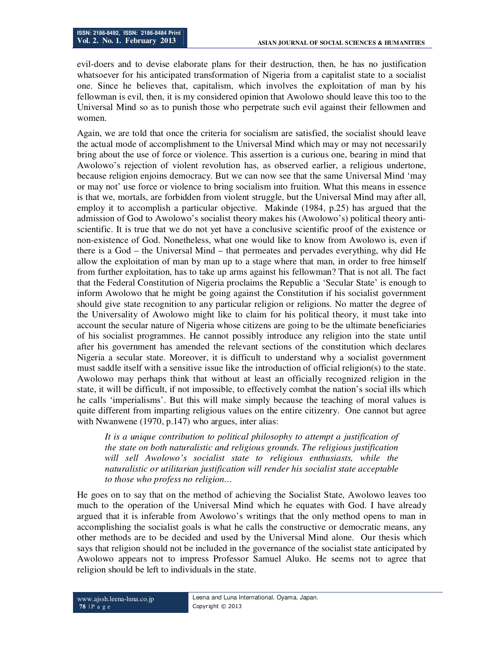evil-doers and to devise elaborate plans for their destruction, then, he has no justification whatsoever for his anticipated transformation of Nigeria from a capitalist state to a socialist one. Since he believes that, capitalism, which involves the exploitation of man by his fellowman is evil, then, it is my considered opinion that Awolowo should leave this too to the Universal Mind so as to punish those who perpetrate such evil against their fellowmen and women.

Again, we are told that once the criteria for socialism are satisfied, the socialist should leave the actual mode of accomplishment to the Universal Mind which may or may not necessarily bring about the use of force or violence. This assertion is a curious one, bearing in mind that Awolowo's rejection of violent revolution has, as observed earlier, a religious undertone, because religion enjoins democracy. But we can now see that the same Universal Mind 'may or may not' use force or violence to bring socialism into fruition. What this means in essence is that we, mortals, are forbidden from violent struggle, but the Universal Mind may after all, employ it to accomplish a particular objective. Makinde (1984, p.25) has argued that the admission of God to Awolowo's socialist theory makes his (Awolowo's) political theory antiscientific. It is true that we do not yet have a conclusive scientific proof of the existence or non-existence of God. Nonetheless, what one would like to know from Awolowo is, even if there is a God – the Universal Mind – that permeates and pervades everything, why did He allow the exploitation of man by man up to a stage where that man, in order to free himself from further exploitation, has to take up arms against his fellowman? That is not all. The fact that the Federal Constitution of Nigeria proclaims the Republic a 'Secular State' is enough to inform Awolowo that he might be going against the Constitution if his socialist government should give state recognition to any particular religion or religions. No matter the degree of the Universality of Awolowo might like to claim for his political theory, it must take into account the secular nature of Nigeria whose citizens are going to be the ultimate beneficiaries of his socialist programmes. He cannot possibly introduce any religion into the state until after his government has amended the relevant sections of the constitution which declares Nigeria a secular state. Moreover, it is difficult to understand why a socialist government must saddle itself with a sensitive issue like the introduction of official religion(s) to the state. Awolowo may perhaps think that without at least an officially recognized religion in the state, it will be difficult, if not impossible, to effectively combat the nation's social ills which he calls 'imperialisms'. But this will make simply because the teaching of moral values is quite different from imparting religious values on the entire citizenry. One cannot but agree with Nwanwene (1970, p.147) who argues, inter alias:

*It is a unique contribution to political philosophy to attempt a justification of the state on both naturalistic and religious grounds. The religious justification will sell Awolowo's socialist state to religious enthusiasts, while the naturalistic or utilitarian justification will render his socialist state acceptable to those who profess no religion…*

He goes on to say that on the method of achieving the Socialist State, Awolowo leaves too much to the operation of the Universal Mind which he equates with God. I have already argued that it is inferable from Awolowo's writings that the only method opens to man in accomplishing the socialist goals is what he calls the constructive or democratic means, any other methods are to be decided and used by the Universal Mind alone. Our thesis which says that religion should not be included in the governance of the socialist state anticipated by Awolowo appears not to impress Professor Samuel Aluko. He seems not to agree that religion should be left to individuals in the state.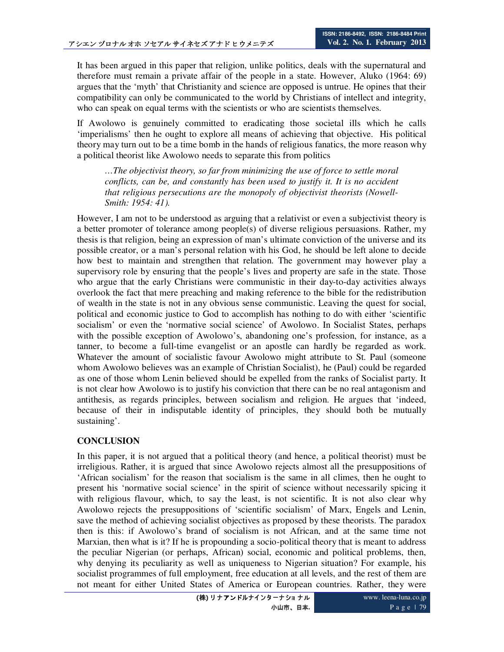It has been argued in this paper that religion, unlike politics, deals with the supernatural and therefore must remain a private affair of the people in a state. However, Aluko (1964: 69) argues that the 'myth' that Christianity and science are opposed is untrue. He opines that their compatibility can only be communicated to the world by Christians of intellect and integrity, who can speak on equal terms with the scientists or who are scientists themselves.

If Awolowo is genuinely committed to eradicating those societal ills which he calls 'imperialisms' then he ought to explore all means of achieving that objective. His political theory may turn out to be a time bomb in the hands of religious fanatics, the more reason why a political theorist like Awolowo needs to separate this from politics

*…The objectivist theory, so far from minimizing the use of force to settle moral conflicts, can be, and constantly has been used to justify it. It is no accident that religious persecutions are the monopoly of objectivist theorists (Nowell-Smith: 1954: 41).* 

However, I am not to be understood as arguing that a relativist or even a subjectivist theory is a better promoter of tolerance among people(s) of diverse religious persuasions. Rather, my thesis is that religion, being an expression of man's ultimate conviction of the universe and its possible creator, or a man's personal relation with his God, he should be left alone to decide how best to maintain and strengthen that relation. The government may however play a supervisory role by ensuring that the people's lives and property are safe in the state. Those who argue that the early Christians were communistic in their day-to-day activities always overlook the fact that mere preaching and making reference to the bible for the redistribution of wealth in the state is not in any obvious sense communistic. Leaving the quest for social, political and economic justice to God to accomplish has nothing to do with either 'scientific socialism' or even the 'normative social science' of Awolowo. In Socialist States, perhaps with the possible exception of Awolowo's, abandoning one's profession, for instance, as a tanner, to become a full-time evangelist or an apostle can hardly be regarded as work. Whatever the amount of socialistic favour Awolowo might attribute to St. Paul (someone whom Awolowo believes was an example of Christian Socialist), he (Paul) could be regarded as one of those whom Lenin believed should be expelled from the ranks of Socialist party. It is not clear how Awolowo is to justify his conviction that there can be no real antagonism and antithesis, as regards principles, between socialism and religion. He argues that 'indeed, because of their in indisputable identity of principles, they should both be mutually sustaining'.

## **CONCLUSION**

In this paper, it is not argued that a political theory (and hence, a political theorist) must be irreligious. Rather, it is argued that since Awolowo rejects almost all the presuppositions of 'African socialism' for the reason that socialism is the same in all climes, then he ought to present his 'normative social science' in the spirit of science without necessarily spicing it with religious flavour, which, to say the least, is not scientific. It is not also clear why Awolowo rejects the presuppositions of 'scientific socialism' of Marx, Engels and Lenin, save the method of achieving socialist objectives as proposed by these theorists. The paradox then is this: if Awolowo's brand of socialism is not African, and at the same time not Marxian, then what is it? If he is propounding a socio-political theory that is meant to address the peculiar Nigerian (or perhaps, African) social, economic and political problems, then, why denying its peculiarity as well as uniqueness to Nigerian situation? For example, his socialist programmes of full employment, free education at all levels, and the rest of them are not meant for either United States of America or European countries. Rather, they were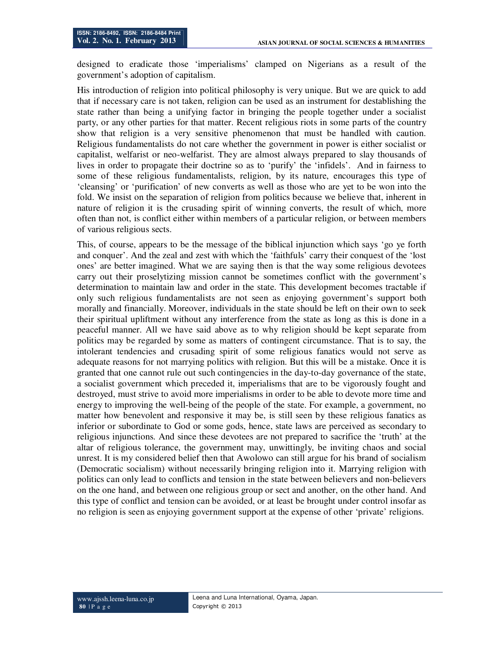designed to eradicate those 'imperialisms' clamped on Nigerians as a result of the government's adoption of capitalism.

His introduction of religion into political philosophy is very unique. But we are quick to add that if necessary care is not taken, religion can be used as an instrument for destablishing the state rather than being a unifying factor in bringing the people together under a socialist party, or any other parties for that matter. Recent religious riots in some parts of the country show that religion is a very sensitive phenomenon that must be handled with caution. Religious fundamentalists do not care whether the government in power is either socialist or capitalist, welfarist or neo-welfarist. They are almost always prepared to slay thousands of lives in order to propagate their doctrine so as to 'purify' the 'infidels'. And in fairness to some of these religious fundamentalists, religion, by its nature, encourages this type of 'cleansing' or 'purification' of new converts as well as those who are yet to be won into the fold. We insist on the separation of religion from politics because we believe that, inherent in nature of religion it is the crusading spirit of winning converts, the result of which, more often than not, is conflict either within members of a particular religion, or between members of various religious sects.

This, of course, appears to be the message of the biblical injunction which says 'go ye forth and conquer'. And the zeal and zest with which the 'faithfuls' carry their conquest of the 'lost ones' are better imagined. What we are saying then is that the way some religious devotees carry out their proselytizing mission cannot be sometimes conflict with the government's determination to maintain law and order in the state. This development becomes tractable if only such religious fundamentalists are not seen as enjoying government's support both morally and financially. Moreover, individuals in the state should be left on their own to seek their spiritual upliftment without any interference from the state as long as this is done in a peaceful manner. All we have said above as to why religion should be kept separate from politics may be regarded by some as matters of contingent circumstance. That is to say, the intolerant tendencies and crusading spirit of some religious fanatics would not serve as adequate reasons for not marrying politics with religion. But this will be a mistake. Once it is granted that one cannot rule out such contingencies in the day-to-day governance of the state, a socialist government which preceded it, imperialisms that are to be vigorously fought and destroyed, must strive to avoid more imperialisms in order to be able to devote more time and energy to improving the well-being of the people of the state. For example, a government, no matter how benevolent and responsive it may be, is still seen by these religious fanatics as inferior or subordinate to God or some gods, hence, state laws are perceived as secondary to religious injunctions. And since these devotees are not prepared to sacrifice the 'truth' at the altar of religious tolerance, the government may, unwittingly, be inviting chaos and social unrest. It is my considered belief then that Awolowo can still argue for his brand of socialism (Democratic socialism) without necessarily bringing religion into it. Marrying religion with politics can only lead to conflicts and tension in the state between believers and non-believers on the one hand, and between one religious group or sect and another, on the other hand. And this type of conflict and tension can be avoided, or at least be brought under control insofar as no religion is seen as enjoying government support at the expense of other 'private' religions.